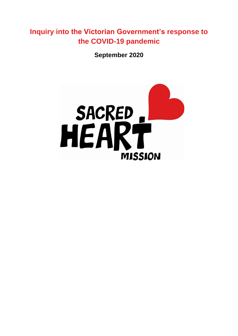**Inquiry into the Victorian Government's response to the COVID-19 pandemic** 

**September 2020**

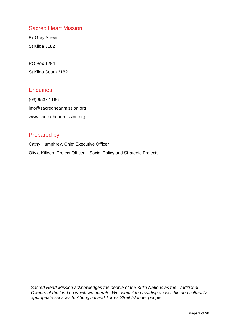### Sacred Heart Mission

87 Grey Street St Kilda 3182

PO Box 1284 St Kilda South 3182

### **Enquiries**

(03) 9537 1166 info@sacredheartmission.org [www.sacredheartmission.org](http://www.sacredheartmission.org/)

### Prepared by

Cathy Humphrey, Chief Executive Officer Olivia Killeen, Project Officer – Social Policy and Strategic Projects

*Sacred Heart Mission acknowledges the people of the Kulin Nations as the Traditional Owners of the land on which we operate. We commit to providing accessible and culturally appropriate services to Aboriginal and Torres Strait Islander people.*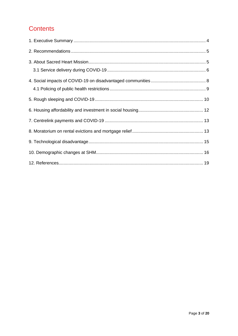# **Contents**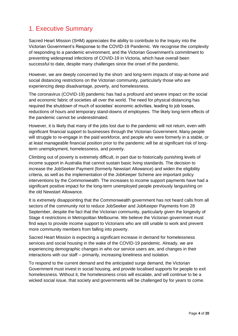# <span id="page-3-0"></span>1. Executive Summary

Sacred Heart Mission (SHM) appreciates the ability to contribute to the Inquiry into the Victorian Government's Response to the COVID-19 Pandemic. We recognise the complexity of responding to a pandemic environment, and the Victorian Government's commitment to preventing widespread infections of COVID-19 in Victoria, which have overall been successful to date, despite many challenges since the onset of the pandemic.

However, we are deeply concerned by the short- and long-term impacts of stay-at-home and social distancing restrictions on the Victorian community, particularly those who are experiencing deep disadvantage, poverty, and homelessness.

The coronavirus (COVID-19) pandemic has had a profound and severe impact on the social and economic fabric of societies all over the world. The need for physical distancing has required the shutdown of much of societies' economic activities, leading to job losses, reductions of hours and temporary stand-downs of employees. The likely long-term effects of the pandemic cannot be underestimated.

However, it is likely that many of the jobs lost due to the pandemic will not return, even with significant financial support to businesses through the Victorian Government. Many people will struggle to re-engage in the paid workforce, and people who were formerly in a stable, or at least manageable financial position prior to the pandemic will be at significant risk of longterm unemployment, homelessness, and poverty.

Climbing out of poverty is extremely difficult, in part due to historically punishing levels of income support in Australia that cannot sustain basic living standards. The decision to increase the JobSeeker Payment (formerly Newstart Allowance) and widen the eligibility criteria, as well as the implementation of the JobKeeper Scheme are important policy interventions by the Commonwealth. The increases to income support payments have had a significant positive impact for the long-term unemployed people previously languishing on the old Newstart Allowance.

It is extremely disappointing that the Commonwealth government has not heard calls from all sectors of the community not to reduce JobSeeker and JobKeeper Payments from 28 September, despite the fact that the Victorian community, particularly given the longevity of Stage 4 restrictions in Metropolitan Melbourne. We believe the Victorian government must find ways to provide income support to Victorians who are still unable to work and prevent more community members from falling into poverty.

Sacred Heart Mission is expecting a significant increase in demand for homelessness services and social housing in the wake of the COVID-19 pandemic. Already, we are experiencing demographic changes in who our service users are, and changes in their interactions with our staff – primarily, increasing loneliness and isolation.

To respond to the current demand and the anticipated surge demand, the Victorian Government must invest in social housing, and provide localised supports for people to exit homelessness. Without it, the homelessness crisis will escalate, and will continue to be a wicked social issue, that society and governments will be challenged by for years to come.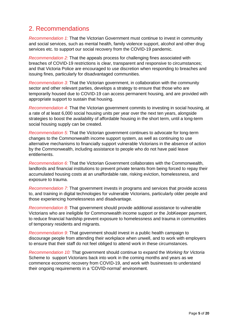# <span id="page-4-0"></span>2. Recommendations

*Recommendation 1:* That the Victorian Government must continue to invest in community and social services, such as mental health, family violence support, alcohol and other drug services etc. to support our social recovery from the COVID-19 pandemic.

*Recommendation 2:* That the appeals process for challenging fines associated with breaches of COVID-19 restrictions is clear, transparent and responsive to circumstances; and that Victoria Police are encouraged to use discretion when responding to breaches and issuing fines, particularly for disadvantaged communities.

*Recommendation 3:* That the Victorian government, in collaboration with the community sector and other relevant parties, develops a strategy to ensure that those who are temporarily housed due to COVID-19 can access permanent housing, and are provided with appropriate support to sustain that housing.

*Recommendation 4:* That the Victorian government commits to investing in social housing, at a rate of at least 6,000 social housing units per year over the next ten years, alongside strategies to boost the availability of affordable housing in the short term, until a long-term social housing supply can be created.

*Recommendation 5:* That the Victorian government continues to advocate for long-term changes to the Commonwealth income support system, as well as continuing to use alternative mechanisms to financially support vulnerable Victorians in the absence of action by the Commonwealth, including assistance to people who do not have paid leave entitlements.

*Recommendation 6:* That the Victorian Government collaborates with the Commonwealth, landlords and financial institutions to prevent private tenants from being forced to repay their accumulated housing costs at an unaffordable rate, risking eviction, homelessness, and exposure to trauma.

*Recommendation 7:* That government invests in programs and services that provide access to, and training in digital technologies for vulnerable Victorians, particularly older people and those experiencing homelessness and disadvantage.

<span id="page-4-1"></span>*Recommendation 8:* That government should provide additional assistance to vulnerable Victorians who are ineligible for Commonwealth income support or the JobKeeper payment, to reduce financial hardship prevent exposure to homelessness and trauma in communities of temporary residents and migrants.

*Recommendation 9:* That government should invest in a public health campaign to discourage people from attending their workplace when unwell, and to work with employers to ensure that their staff do not feel obliged to attend work in these circumstances.

*Recommendation 10:* That government should continue to expand the *Working for Victoria*  Scheme to support Victorians back into work in the coming months and years as we commence economic recovery from COVID-19, and work with businesses to understand their ongoing requirements in a 'COVID-normal' environment.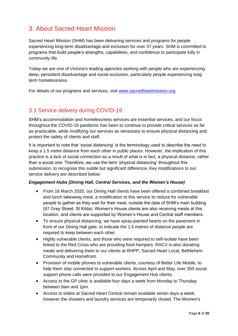# 3. About Sacred Heart Mission

Sacred Heart Mission (SHM) has been delivering services and programs for people experiencing long-term disadvantage and exclusion for over 37 years. SHM is committed to programs that build people's strengths, capabilities, and confidence to participate fully in community life.

Today we are one of Victoria's leading agencies working with people who are experiencing deep, persistent disadvantage and social exclusion, particularly people experiencing long term homelessness.

For details of our programs and services, visit [www.sacredheartmission.org.](http://www.sacredheartmission.org/)

### <span id="page-5-0"></span>3.1 Service delivery during COVID-19

SHM's accommodation and homelessness services are essential services, and our focus throughout the COVID-19 pandemic has been to continue to provide critical services as far as practicable, while modifying our services as necessary to ensure physical distancing and protect the safety of clients and staff.

It is important to note that 'social distancing' is the terminology used to describe the need to keep a 1.5 metre distance from each other in public places. However, the implication of this practice is a lack of social connection as a result of what is in fact, a physical distance, rather than a social one. Therefore, we use the term 'physical distancing' throughout this submission, to recognise this subtle but significant difference. Key modifications to our service delivery are described below:

#### *Engagement Hubs (Dining Hall, Central Services, and the Women's House)*

- From 16 March 2020, our Dining Hall clients have been offered a combined breakfast and lunch takeaway meal, a modification to this service to reduce for vulnerable people to gather as they wait for their meal, outside the date of SHM's main building (87 Grey Street, St Kilda). Women's House clients are also receiving meals at this location, and clients are supported by Women's House and Central staff members.
- To ensure physical distancing, we have spray-painted hearts on the pavement in front of our Dining Hall gate, to indicate the 1.5 metres of distance people are required to keep between each other.
- Highly vulnerable clients, and those who were required to self-isolate have been linked to the Red Cross who are providing food hampers. RACV is also donating meals and delivering them to our clients at RHPP, Sacred Heart Local, Bethlehem Community and Homefront.
- Provision of mobile phones to vulnerable clients, courtesy of Better Life Mobile, to help them stay connected to support workers. Across April and May, over 350 social support phone calls were provided to our Engagement Hub clients.
- Access to the GP clinic is available four days a week from Monday to Thursday between 9am and 1pm.
- Access to toilets at Sacred Heart Central remain available seven days a week, however the showers and laundry services are temporarily closed. The Women's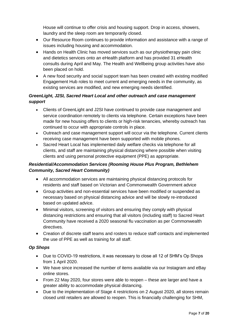House will continue to offer crisis and housing support. Drop in access, showers, laundry and the sleep room are temporarily closed.

- Our Resource Room continues to provide information and assistance with a range of issues including housing and accommodation.
- Hands on Health Clinic has moved services such as our physiotherapy pain clinic and dietetics services onto an eHealth platform and has provided 31 eHealth consults during April and May. The Health and Wellbeing group activities have also been placed on hold.
- A new food security and social support team has been created with existing modified Engagement Hub roles to meet current and emerging needs in the community, as existing services are modified, and new emerging needs identified.

#### *GreenLight, J2SI, Sacred Heart Local and other outreach and case management support*

- Clients of GreenLight and J2SI have continued to provide case management and service coordination remotely to clients via telephone. Certain exceptions have been made for new housing offers to clients or high-risk tenancies, whereby outreach has continued to occur with appropriate controls in place.
- Outreach and case management support will occur via the telephone. Current clients receiving case management have been supported with mobile phones.
- Sacred Heart Local has implemented daily welfare checks via telephone for all clients, and staff are maintaining physical distancing where possible when visiting clients and using personal protective equipment (PPE) as appropriate.

#### *Residential/Accommodation Services (Rooming House Plus Program, Bethlehem Community, Sacred Heart Community)*

- All accommodation services are maintaining physical distancing protocols for residents and staff based on Victorian and Commonwealth Government advice
- Group activities and non-essential services have been modified or suspended as necessary based on physical distancing advice and will be slowly re-introduced based on updated advice.
- Minimal visitors, screening of visitors and ensuring they comply with physical distancing restrictions and ensuring that all visitors (including staff) to Sacred Heart Community have received a 2020 seasonal flu vaccination as per Commonwealth directives.
- Creation of discrete staff teams and rosters to reduce staff contacts and implemented the use of PPE as well as training for all staff.

### *Op Shops*

- Due to COVID-19 restrictions, it was necessary to close all 12 of SHM's Op Shops from 1 April 2020.
- We have since increased the number of items available via our Instagram and eBay online stores.
- From 22 May 2020, four stores were able to reopen these are larger and have a greater ability to accommodate physical distancing.
- Due to the implementation of Stage 4 restrictions on 2 August 2020, all stores remain closed until retailers are allowed to reopen. This is financially challenging for SHM,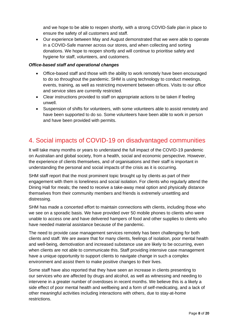and we hope to be able to reopen shortly, with a strong COVID-Safe plan in place to ensure the safety of all customers and staff.

• Our experience between May and August demonstrated that we were able to operate in a COVID-Safe manner across our stores, and when collecting and sorting donations. We hope to reopen shortly and will continue to prioritise safety and hygiene for staff, volunteers, and customers.

#### *Office-based staff and operational changes*

- Office-based staff and those with the ability to work remotely have been encouraged to do so throughout the pandemic. SHM is using technology to conduct meetings, events, training, as well as restricting movement between offices. Visits to our office and service sites are currently restricted.
- Clear instructions provided to staff on appropriate actions to be taken if feeling unwell.
- Suspension of shifts for volunteers, with some volunteers able to assist remotely and have been supported to do so. Some volunteers have been able to work in person and have been provided with permits.

## <span id="page-7-0"></span>4. Social impacts of COVID-19 on disadvantaged communities

It will take many months or years to understand the full impact of the COVID-19 pandemic on Australian and global society, from a health, social and economic perspective. However, the experience of clients themselves, and of organisations and their staff is important in understanding the personal and social impacts of the crisis as it is occurring.

SHM staff report that the most prominent topic brought up by clients as part of their engagement with them is loneliness and social isolation. For clients who regularly attend the Dining Hall for meals; the need to receive a take-away meal option and physically distance themselves from their community members and friends is extremely unsettling and distressing.

SHM has made a concerted effort to maintain connections with clients, including those who we see on a sporadic basis. We have provided over 50 mobile phones to clients who were unable to access one and have delivered hampers of food and other supplies to clients who have needed material assistance because of the pandemic.

The need to provide case management services remotely has been challenging for both clients and staff. We are aware that for many clients, feelings of isolation, poor mental health and well-being, demotivation and increased substance use are likely to be occurring, even when clients are not able to communicate this. Staff providing intensive case management have a unique opportunity to support clients to navigate change in such a complex environment and assist them to make positive changes to their lives.

Some staff have also reported that they have seen an increase in clients presenting to our services who are affected by drugs and alcohol, as well as witnessing and needing to intervene in a greater number of overdoses in recent months. We believe this is a likely a side effect of poor mental health and wellbeing and a form of self-medicating, and a lack of other meaningful activities including interactions with others, due to stay-at-home restrictions.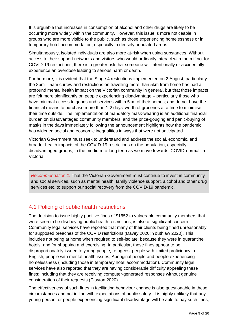It is arguable that increases in consumption of alcohol and other drugs are likely to be occurring more widely within the community. However, this issue is more noticeable in groups who are more visible to the public, such as those experiencing homelessness or in temporary hotel accommodation, especially in densely populated areas.

Simultaneously, isolated individuals are also more at-risk when using substances. Without access to their support networks and visitors who would ordinarily interact with them if not for COVID-19 restrictions, there is a greater risk that someone will intentionally or accidentally experience an overdose leading to serious harm or death.

Furthermore, it is evident that the Stage 4 restrictions implemented on 2 August, particularly the 8pm – 5am curfew and restrictions on travelling more than 5km from home has had a profound mental health impact on the Victorian community in general, but that those impacts are felt more significantly on people experiencing disadvantage – particularly those who have minimal access to goods and services within 5km of their homes; and do not have the financial means to purchase more than 1-2 days' worth of groceries at a time to minimise their time outside. The implementation of mandatory mask-wearing is an additional financial burden on disadvantaged community members, and the price-gouging and panic-buying of masks in the days immediately following the announcement highlights how the pandemic has widened social and economic inequalities in ways that were not anticipated.

Victorian Government must seek to understand and address the social, economic, and broader health impacts of the COVID-19 restrictions on the population, especially disadvantaged groups, in the medium-to-long term as we move towards 'COVID-normal' in Victoria.

*Recommendation 1:* That the Victorian Government must continue to invest in community and social services, such as mental health, family violence support, alcohol and other drug services etc. to support our social recovery from the COVID-19 pandemic.

## <span id="page-8-0"></span>4.1 Policing of public health restrictions

The decision to issue highly punitive fines of \$1652 to vulnerable community members that were seen to be disobeying public health restrictions, is also of significant concern. Community legal services have reported that many of their clients being fined unreasonably for supposed breaches of the COVID restrictions (Davey 2020; Youthlaw 2020). This includes not being at home when required to self-isolate; because they were in quarantine hotels, and for shopping and exercising. In particular, these fines appear to be disproportionately issued to young people, refugees, people with limited proficiency in English, people with mental health issues, Aboriginal people and people experiencing homelessness (including those in temporary hotel accommodation). Community legal services have also reported that they are having considerable difficulty appealing these fines; including that they are receiving computer-generated responses without genuine consideration of their requests (Clayton 2020).

The effectiveness of such fines in facilitating behaviour change is also questionable in these circumstances and not in line with expectations of public safety. It is highly unlikely that any young person, or people experiencing significant disadvantage will be able to pay such fines,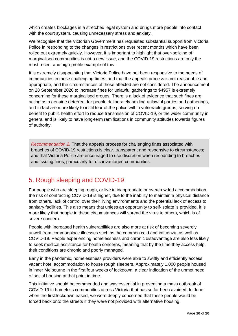which creates blockages in a stretched legal system and brings more people into contact with the court system, causing unnecessary stress and anxiety.

We recognise that the Victorian Government has requested substantial support from Victoria Police in responding to the changes in restrictions over recent months which have been rolled out extremely quickly. However, it is important to highlight that over-policing of marginalised communities is not a new issue, and the COVID-19 restrictions are only the most recent and high-profile example of this.

It is extremely disappointing that Victoria Police have not been responsive to the needs of communities in these challenging times, and that the appeals process is not reasonable and appropriate, and the circumstances of those affected are not considered. The announcement on 28 September 2020 to increase fines for unlawful gatherings to \$4957 is extremely concerning for these marginalised groups. There is a lack of evidence that such fines are acting as a genuine deterrent for people deliberately holding unlawful parties and gatherings, and in fact are more likely to instil fear of the police within vulnerable groups; serving no benefit to public health effort to reduce transmission of COVID-19, or the wider community in general and is likely to have long-term ramifications in community attitudes towards figures of authority.

*Recommendation 2:* That the appeals process for challenging fines associated with breaches of COVID-19 restrictions is clear, transparent and responsive to circumstances; and that Victoria Police are encouraged to use discretion when responding to breaches and issuing fines, particularly for disadvantaged communities.

# <span id="page-9-0"></span>5. Rough sleeping and COVID-19

For people who are sleeping rough, or live in inappropriate or overcrowded accommodation, the risk of contracting COVID-19 is higher, due to the inability to maintain a physical distance from others, lack of control over their living environments and the potential lack of access to sanitary facilities. This also means that unless an opportunity to self-isolate is provided, it is more likely that people in these circumstances will spread the virus to others, which is of severe concern.

People with increased health vulnerabilities are also more at risk of becoming severely unwell from commonplace illnesses such as the common cold and influenza, as well as COVID-19. People experiencing homelessness and chronic disadvantage are also less likely to seek medical assistance for health concerns, meaning that by the time they access help, their conditions are chronic and poorly managed.

Early in the pandemic, homelessness providers were able to swiftly and efficiently access vacant hotel accommodation to house rough sleepers. Approximately 1,000 people housed in inner Melbourne in the first four weeks of lockdown, a clear indication of the unmet need of social housing at that point in time.

This initiative should be commended and was essential in preventing a mass outbreak of COVID-19 in homeless communities across Victoria that has so far been avoided. In June, when the first lockdown eased, we were deeply concerned that these people would be forced back onto the streets if they were not provided with alternative housing.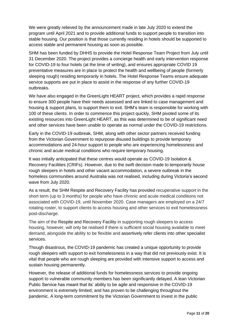We were greatly relieved by the announcement made in late July 2020 to extend the program until April 2021 and to provide additional funds to support people to transition into stable housing. Our position is that those currently residing in hotels should be supported to access stable and permanent housing as soon as possible.

SHM has been funded by DHHS to provide the Hotel Response Team Project from July until 31 December 2020. The project provides a concierge health and early intervention response for COVID-19 to four hotels (at the time of writing), and ensures appropriate COVID 19 preventative measures are in place to protect the health and wellbeing of people (formerly sleeping rough) residing temporarily in hotels. The Hotel Response Teams ensure adequate service supports are put in place to assist in the response of any further COVID-19 outbreaks.

We have also engaged in the GreenLight HEART project, which provides a rapid response to ensure 300 people have their needs assessed and are linked to case management and housing & support plans, to support them to exit. SHM's team is responsible for working with 100 of these clients. In order to commence this project quickly, SHM pivoted some of its existing resources into GreenLight HEART, as this was determined to be of significant need and other services have been unable to operate as normal under the COVID-19 restrictions.

Early in the COVID-19 outbreak, SHM, along with other sector partners received funding from the Victorian Government to repurpose disused buildings to provide temporary accommodations and 24-hour support to people who are experiencing homelessness and chronic and acute medical conditions who require temporary housing.

It was initially anticipated that these centres would operate as COVID-19 Isolation & Recovery Facilities (CRIFs). However, due to the swift decision made to temporarily house rough sleepers in hotels and other vacant accommodation, a severe outbreak in the homeless communities around Australia was not realised, including during Victoria's second wave from July 2020.

As a result, the SHM Respite and Recovery Facility has provided recuperative support in the short term (up to 3 months) for people who have chronic and acute medical conditions not associated with COVID-19, until November 2020. Case managers are employed on a 24/7 rotating roster, to support clients to access housing and other services to exit homelessness post-discharge.

The aim of the Respite and Recovery Facility in supporting rough sleepers to access housing, however, will only be realised if there is sufficient social housing available to meet demand, alongside the ability to be flexible and assertively refer clients into other specialist services.

Though disastrous, the COVID-19 pandemic has created a unique opportunity to provide rough sleepers with support to exit homelessness in a way that did not previously exist. It is vital that people who are rough sleeping are provided with intensive support to access and sustain housing permanently.

However, the release of additional funds for homelessness services to provide ongoing support to vulnerable community members has been significantly delayed. A lean Victorian Public Service has meant that its' ability to be agile and responsive in the COVID-19 environment is extremely limited; and has proven to be challenging throughout the pandemic. A long-term commitment by the Victorian Government to invest in the public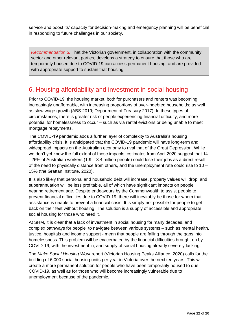service and boost its' capacity for decision-making and emergency planning will be beneficial in responding to future challenges in our society.

*Recommendation 3:* That the Victorian government, in collaboration with the community sector and other relevant parties, develops a strategy to ensure that those who are temporarily housed due to COVID-19 can access permanent housing, and are provided with appropriate support to sustain that housing.

## <span id="page-11-0"></span>6. Housing affordability and investment in social housing

Prior to COVID-19, the housing market, both for purchasers and renters was becoming increasingly unaffordable, with increasing proportions of over-indebted households; as well as slow wage growth (ABS 2019; Department of Treasury 2017). In these types of circumstances, there is greater risk of people experiencing financial difficulty, and more potential for homelessness to occur – such as via rental evictions or being unable to meet mortgage repayments.

The COVID-19 pandemic adds a further layer of complexity to Australia's housing affordability crisis. It is anticipated that the COVID-19 pandemic will have long-term and widespread impacts on the Australian economy to rival that of the Great Depression. While we don't yet know the full extent of these impacts, estimates from April 2020 suggest that 14 - 26% of Australian workers (1.9 – 3.4 million people) could lose their jobs as a direct result of the need to physically distance from others, and the unemployment rate could rise to 10 – 15% (the Grattan Institute, 2020).

It is also likely that personal and household debt will increase, property values will drop, and superannuation will be less profitable, all of which have significant impacts on people nearing retirement age. Despite endeavours by the Commonwealth to assist people to prevent financial difficulties due to COVID-19, there will inevitably be those for whom that assistance is unable to prevent a financial crisis. It is simply not possible for people to get back on their feet without housing. The solution is a supply of accessible and appropriate social housing for those who need it.

At SHM, it is clear that a lack of investment in social housing for many decades, and complex pathways for people to navigate between various systems – such as mental health, justice, hospitals and income support - mean that people are falling through the gaps into homelessness. This problem will be exacerbated by the financial difficulties brought on by COVID-19, with the investment in, and supply of social housing already severely lacking.

The *Make Social Housing Work* report (Victorian Housing Peaks Alliance, 2020) calls for the building of 6,000 social housing units per year in Victoria over the next ten years. This will create a more permanent solution for people who have been temporarily housed to due COVID-19, as well as for those who will become increasingly vulnerable due to unemployment because of the pandemic.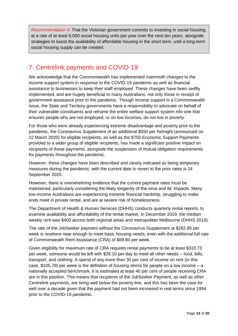*Recommendation 4:* That the Victorian government commits to investing in social housing, at a rate of at least 6,000 social housing units per year over the next ten years, alongside strategies to boost the availability of affordable housing in the short term, until a long-term social housing supply can be created.

# <span id="page-12-0"></span>7. Centrelink payments and COVID-19

We acknowledge that the Commonwealth has implemented mammoth changes to the income support system in response to the COVID-19 pandemic as well as financial assistance to businesses to keep their staff employed. These changes have been swiftly implemented, and are hugely beneficial to many Australians, not only those in receipt of government assistance prior to the pandemic. Though income support is a Commonwealth issue, the State and Territory governments have a responsibility to advocate on behalf of their vulnerable constituents and reframe the entire welfare support system into one that ensures people who are not employed, or on low incomes, do not live in poverty.

For those who were already experiencing extreme disadvantage and poverty prior to the pandemic, the Coronavirus Supplement of an additional \$550 per fortnight (announced on 22 March 2020) for eligible recipients, as well as the \$750 Economic Support Payments provided to a wider group of eligible recipients, has made a significant positive impact on recipients of these payments, alongside the suspension of mutual obligation requirements for payments throughout the pandemic.

However, these changes have been described and clearly indicated as being temporary measures during the pandemic, with the current date to revert to the prior rates is 24 September 2020.

However, there is overwhelming evidence that the current payment rates must be maintained, particularly considering the likely longevity of the virus and its' impacts. Many low-income Australians are experiencing extreme financial hardship, struggling to make ends meet in private rental, and are at severe risk of homelessness.

The Department of Health & Human Services (DHHS) conducts quarterly rental reports, to examine availability and affordability of the rental market. In December 2019, the median weekly rent was \$400 across both regional areas and metropolitan Melbourne (DHHS 2019).

The rate of the JobSeeker payment without the Coronavirus Supplement at \$282.85 per week is nowhere near enough to meet basic housing needs, even with the additional full rate of Commonwealth Rent Assistance (CRA) of \$69.80 per week.

Given eligibility for maximum rate of CRA requires rental payments to be at least \$310.73 per week, someone would be left with \$28.10 per day to meet all other needs – food, bills, transport, and clothing. A spend of any more than 30 per cent of income on rent (in this case,  $$105.79$ ) per week is the definition of housing stress for people on a low income – a nationally accepted benchmark. It is estimated at least 40 per cent of people receiving CRA are in this position. This means that recipients of the JobSeeker Payment, as well as other Centrelink payments, are living well below the poverty line, and this has been the case for well over a decade given that the payment had not been increased in real terms since 1994 prior to the COVID-19 pandemic.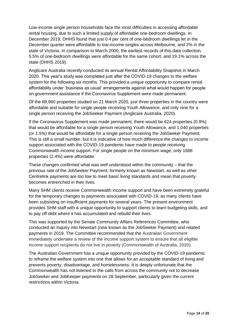Low-income single person households face the most difficulties in accessing affordable rental housing, due to such a limited supply of affordable one-bedroom dwellings. In December 2019, DHHS found that just 0.4 per cent of one-bedroom dwellings let in the December quarter were affordable to low-income singles across Melbourne, and 2% in the state of Victoria. In comparison to March 2000, the earliest records of this data collection, 5.5% of one-bedroom dwellings were affordable for the same cohort, and 19.1% across the state (DHHS 2019).

Anglicare Australia recently conducted its annual Rental Affordability Snapshot in March 2020. This year's study was completed just after the COVID-19 changes to the welfare system for the following six months. This provided a unique opportunity to compare rental affordability under 'business as usual' arrangements against what would happen for people on government assistance if the Coronavirus Supplement were made permanent.

Of the 69,960 properties studied on 21 March 2020, just three properties in the country were affordable and suitable for single people receiving Youth Allowance, and only nine for a single person receiving the JobSeeker Payment (Anglicare Australia, 2020).

If the Coronavirus Supplement was made permanent, there would be 624 properties (0.9%) that would be affordable for a single person receiving Youth Allowance, and 1,040 properties (or 1.5%) that would be affordable for a single person receiving the JobSeeker Payment. This is still a small number, but it is indicative of how much difference the changes to income support associated with the COVID-19 pandemic have made to people receiving Commonwealth income support. For single people on the minimum wage, only 1688 properties (2.4%) were affordable.

These changes confirmed what was well understood within the community – that the previous rate of the JobSeeker Payment, formerly known as Newstart, as well as other Centrelink payments are too low to meet basic living standards and mean that poverty becomes entrenched in their lives.

Many SHM clients receive Commonwealth income support and have been extremely grateful for the temporary changes to payments associated with COVID-19, as many clients have been subsisting on insufficient payments for several years. The present environment provides SHM staff with a unique opportunity to support clients to learn budgeting skills, and to pay off debt where it has accumulated and rebuild their lives.

This was supported by the Senate Community Affairs References Committee, who conducted an Inquiry into Newstart (now known as the JobSeeker Payment) and related payments in 2019. The Committee recommended that the Australian Government immediately undertake a review of the income support system to ensure that all eligible income support recipients do not live in poverty (Commonwealth of Australia, 2020).

The Australian Government has a unique opportunity provided by the COVID-19 pandemic to reframe the welfare system into one that allows for an acceptable standard of living and prevents poverty, disadvantage, and homelessness. It is deeply unfortunate that the Commonwealth has not listened to the calls from across the community not to decrease JobSeeker and JobKeeper payments on 28 September, particularly given the current restrictions within Victoria.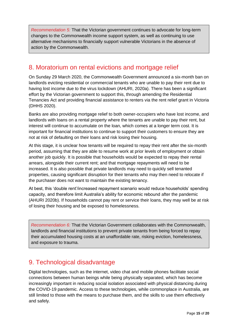*Recommendation 5:* That the Victorian government continues to advocate for long-term changes to the Commonwealth income support system, as well as continuing to use alternative mechanisms to financially support vulnerable Victorians in the absence of action by the Commonwealth.

## 8. Moratorium on rental evictions and mortgage relief

On Sunday 29 March 2020, the Commonwealth Government announced a six-month ban on landlords evicting residential or commercial tenants who are unable to pay their rent due to having lost income due to the virus lockdown (AHURI, 2020a). There has been a significant effort by the Victorian government to support this, through amending the Residential Tenancies Act and providing financial assistance to renters via the rent relief grant in Victoria (DHHS 2020).

Banks are also providing mortgage relief to both owner-occupiers who have lost income, and landlords with loans on a rental property where the tenants are unable to pay their rent, but interest will continue to accumulate on the loan, which comes at a longer term cost. It is important for financial institutions to continue to support their customers to ensure they are not at risk of defaulting on their loans and risk losing their housing.

At this stage, it is unclear how tenants will be required to repay their rent after the six-month period, assuming that they are able to resume work at prior levels of employment or obtain another job quickly. It is possible that households would be expected to repay their rental arrears, alongside their current rent; and that mortgage repayments will need to be increased. It is also possible that private landlords may need to quickly sell tenanted properties, causing significant disruption for their tenants who may then need to relocate if the purchaser does not want to maintain the existing tenancy.

At best, this 'double rent'/increased repayment scenario would reduce households' spending capacity, and therefore limit Australia's ability for economic rebound after the pandemic (AHURI 2020b). If households cannot pay rent or service their loans, they may well be at risk of losing their housing and be exposed to homelessness.

*Recommendation 6:* That the Victorian Government collaborates with the Commonwealth, landlords and financial institutions to prevent private tenants from being forced to repay their accumulated housing costs at an unaffordable rate, risking eviction, homelessness, and exposure to trauma.

# <span id="page-14-0"></span>9. Technological disadvantage

Digital technologies, such as the internet, video chat and mobile phones facilitate social connections between human beings while being physically separated, which has become increasingly important in reducing social isolation associated with physical distancing during the COVID-19 pandemic. Access to these technologies, while commonplace in Australia, are still limited to those with the means to purchase them, and the skills to use them effectively and safely.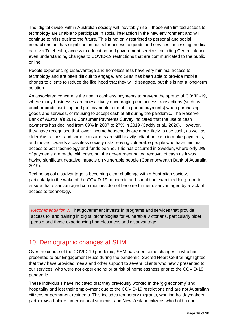The 'digital divide' within Australian society will inevitably rise – those with limited access to technology are unable to participate in social interaction in the new environment and will continue to miss out into the future. This is not only restricted to personal and social interactions but has significant impacts for access to goods and services, accessing medical care via Telehealth, access to education and government services including Centrelink and even understanding changes to COVID-19 restrictions that are communicated to the public online.

People experiencing disadvantage and homelessness have very minimal access to technology and are often difficult to engage, and SHM has been able to provide mobile phones to clients to reduce the likelihood that they will disengage, but this is not a long-term solution.

An associated concern is the rise in cashless payments to prevent the spread of COVID-19, where many businesses are now actively encouraging contactless transactions (such as debit or credit card 'tap and go' payments, or mobile phone payments) when purchasing goods and services, or refusing to accept cash at all during the pandemic. The Reserve Bank of Australia's 2019 Consumer Payments Survey indicated that the use of cash payments has declined from 69% in 2007 to 27% in 2019 (Caddy et al., 2020). However, they have recognised that lower-income households are more likely to use cash, as well as older Australians, and some consumers are still heavily reliant on cash to make payments; and moves towards a cashless society risks leaving vulnerable people who have minimal access to both technology and funds behind. This has occurred in Sweden, where only 2% of payments are made with cash, but the government halted removal of cash as it was having significant negative impacts on vulnerable people (Commonwealth Bank of Australia, 2019).

Technological disadvantage is becoming clear challenge within Australian society, particularly in the wake of the COVID-19 pandemic and should be examined long-term to ensure that disadvantaged communities do not become further disadvantaged by a lack of access to technology.

*Recommendation 7:* That government invests in programs and services that provide access to, and training in digital technologies for vulnerable Victorians, particularly older people and those experiencing homelessness and disadvantage.

## <span id="page-15-0"></span>10. Demographic changes at SHM

Over the course of the COVID-19 pandemic, SHM has seen some changes in who has presented to our Engagement Hubs during the pandemic. Sacred Heart Central highlighted that they have provided meals and other support to several clients who newly presented to our services, who were not experiencing or at risk of homelessness prior to the COVID-19 pandemic.

These individuals have indicated that they previously worked in the 'gig economy' and hospitality and lost their employment due to the COVID-19 restrictions and are not Australian citizens or permanent residents. This includes temporary migrants, working holidaymakers, partner visa holders, international students, and New Zealand citizens who hold a non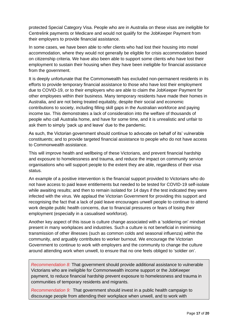protected Special Category Visa. People who are in Australia on these visas are ineligible for Centrelink payments or Medicare and would not qualify for the JobKeeper Payment from their employers to provide financial assistance.

In some cases, we have been able to refer clients who had lost their housing into motel accommodation, where they would not generally be eligible for crisis accommodation based on citizenship criteria. We have also been able to support some clients who have lost their employment to sustain their housing when they have been ineligible for financial assistance from the government.

It is deeply unfortunate that the Commonwealth has excluded non-permanent residents in its efforts to provide temporary financial assistance to those who have lost their employment due to COVID-19, or to their employers who are able to claim the JobKeeper Payment for other employees within their business. Many temporary residents have made their homes in Australia, and are not being treated equitably, despite their social and economic contributions to society, including filling skill gaps in the Australian workforce and paying income tax. This demonstrates a lack of consideration into the welfare of thousands of people who call Australia home, and have for some time, and it is unrealistic and unfair to ask them to simply 'pack up and leave' due to the pandemic.

As such, the Victorian government should continue to advocate on behalf of its' vulnerable constituents; and to provide targeted financial assistance to people who do not have access to Commonwealth assistance.

This will improve health and wellbeing of these Victorians, and prevent financial hardship and exposure to homelessness and trauma, and reduce the impact on community service organisations who will support people to the extent they are able, regardless of their visa status.

An example of a positive intervention is the financial support provided to Victorians who do not have access to paid leave entitlements but needed to be tested for COVID-19 self-isolate while awaiting results; and then to remain isolated for 14 days if the test indicated they were infected with the virus. We applaud the Victorian Government for providing this support and recognising the fact that a lack of paid leave encourages unwell people to continue to attend work despite public health concerns, due to financial pressures or fears of losing their employment (especially in a casualised workforce).

Another key aspect of this issue is culture change associated with a 'soldiering on' mindset present in many workplaces and industries. Such a culture is not beneficial in minimising transmission of other illnesses (such as common colds and seasonal influenza) within the community, and arguably contributes to worker burnout. We encourage the Victorian Government to continue to work with employers and the community to change the culture around attending work when unwell, to ensure that no one feels obliged to 'soldier on'.

*Recommendation 8:* That government should provide additional assistance to vulnerable Victorians who are ineligible for Commonwealth income support or the JobKeeper payment, to reduce financial hardship prevent exposure to homelessness and trauma in communities of temporary residents and migrants.

*Recommendation 9:* That government should invest in a public health campaign to discourage people from attending their workplace when unwell, and to work with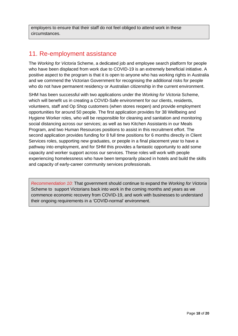employers to ensure that their staff do not feel obliged to attend work in these circumstances.

## 11. Re-employment assistance

The *Working for Victoria* Scheme, a dedicated job and employee search platform for people who have been displaced from work due to COVID-19 is an extremely beneficial initiative. A positive aspect to the program is that it is open to anyone who has working rights in Australia and we commend the Victorian Government for recognising the additional risks for people who do not have permanent residency or Australian citizenship in the current environment.

SHM has been successful with two applications under the *Working for Victoria* Scheme, which will benefit us in creating a COVID-Safe environment for our clients, residents, volunteers, staff and Op Shop customers (when stores reopen) and provide employment opportunities for around 50 people. The first application provides for 38 Wellbeing and Hygiene Worker roles, who will be responsible for cleaning and sanitation and monitoring social distancing across our services; as well as two Kitchen Assistants in our Meals Program, and two Human Resources positions to assist in this recruitment effort. The second application provides funding for 8 full time positions for 6 months directly in Client Services roles, supporting new graduates, or people in a final placement year to have a pathway into employment, and for SHM this provides a fantastic opportunity to add some capacity and worker support across our services. These roles will work with people experiencing homelessness who have been temporarily placed in hotels and build the skills and capacity of early-career community services professionals.

<span id="page-17-0"></span>*Recommendation 10:* That government should continue to expand the *Working for Victoria*  Scheme to support Victorians back into work in the coming months and years as we commence economic recovery from COVID-19, and work with businesses to understand their ongoing requirements in a 'COVID-normal' environment.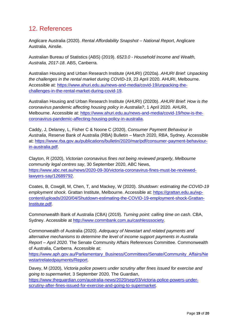# 12. References

Anglicare Australia (2020). *Rental Affordability Snapshot – National Report*, Anglicare Australia, Ainslie.

Australian Bureau of Statistics (ABS) (2019). *6523.0 - Household Income and Wealth, Australia, 2017-18*. ABS, Canberra.

Australian Housing and Urban Research Institute (AHURI) (2020a). *AHURI Brief: Unpacking the challenges in the rental market during COVID-19*, 23 April 2020. AHURI, Melbourne. Accessible at: [https://www.ahuri.edu.au/news-and-media/covid-19/unpacking-the](https://www.ahuri.edu.au/news-and-media/covid-19/unpacking-the-challenges-in-the-rental-market-during-covid-19)[challenges-in-the-rental-market-during-covid-19.](https://www.ahuri.edu.au/news-and-media/covid-19/unpacking-the-challenges-in-the-rental-market-during-covid-19)

Australian Housing and Urban Research Institute (AHURI) (2020b). *AHURI Brief: How is the coronavirus pandemic affecting housing policy in Australia?*, 1 April 2020. AHURI, Melbourne. Accessible at: [https://www.ahuri.edu.au/news-and-media/covid-19/how-is-the](https://www.ahuri.edu.au/news-and-media/covid-19/how-is-the-coronavirus-pandemic-affecting-housing-policy-in-australia)[coronavirus-pandemic-affecting-housing-policy-in-australia.](https://www.ahuri.edu.au/news-and-media/covid-19/how-is-the-coronavirus-pandemic-affecting-housing-policy-in-australia)

Caddy, J, Delaney, L, Fisher C & Noone C (2020), *Consumer Payment Behaviour in Australia*, Reserve Bank of Australia (RBA) Bulletin – March 2020, RBA, Sydney. Accessible at: [https://www.rba.gov.au/publications/bulletin/2020/mar/pdf/consumer-payment-behaviour](https://www.rba.gov.au/publications/bulletin/2020/mar/pdf/consumer-payment-behaviour-in-australia.pdf)[in-australia.pdf.](https://www.rba.gov.au/publications/bulletin/2020/mar/pdf/consumer-payment-behaviour-in-australia.pdf)

Clayton, R (2020), *Victorian coronavirus fines not being reviewed properly, Melbourne community legal centres say*, 30 September 2020, ABC News, [https://www.abc.net.au/news/2020-09-30/victoria-coronavirus-fines-must-be-reviewed](https://www.abc.net.au/news/2020-09-30/victoria-coronavirus-fines-must-be-reviewed-lawyers-say/12689792)[lawyers-say/12689792.](https://www.abc.net.au/news/2020-09-30/victoria-coronavirus-fines-must-be-reviewed-lawyers-say/12689792)

Coates, B, Cowgill, M, Chen, T, and Mackey, W (2020). *Shutdown: estimating the COVID-19 employment shock*. Grattan Institute, Melbourne. Accessible at: [https://grattan.edu.au/wp](https://grattan.edu.au/wp-content/uploads/2020/04/Shutdown-estimating-the-COVID-19-employment-shock-Grattan-Institute.pdf)[content/uploads/2020/04/Shutdown-estimating-the-COVID-19-employment-shock-Grattan-](https://grattan.edu.au/wp-content/uploads/2020/04/Shutdown-estimating-the-COVID-19-employment-shock-Grattan-Institute.pdf)[Institute.pdf.](https://grattan.edu.au/wp-content/uploads/2020/04/Shutdown-estimating-the-COVID-19-employment-shock-Grattan-Institute.pdf)

Commonwealth Bank of Australia (CBA) (2019). *Turning point: calling time on cash*. CBA, Sydney. Accessible at [http://www.commbank.com.au/cashlesssociety.](http://www.commbank.com.au/cashlesssociety)

Commonwealth of Australia (2020). *Adequacy of Newstart and related payments and alternative mechanisms to determine the level of income support payments in Australia Report – April 2020.* The Senate Community Affairs References Committee. Commonwealth of Australia, Canberra. Accessible at:

[https://www.aph.gov.au/Parliamentary\\_Business/Committees/Senate/Community\\_Affairs/Ne](https://www.aph.gov.au/Parliamentary_Business/Committees/Senate/Community_Affairs/Newstartrelatedpayments/Report) [wstartrelatedpayments/Report.](https://www.aph.gov.au/Parliamentary_Business/Committees/Senate/Community_Affairs/Newstartrelatedpayments/Report)

Davey, M (2020), *Victoria police powers under scrutiny after fines issued for exercise and going to supermarket*, 3 September 2020, The Guardian, [https://www.theguardian.com/australia-news/2020/sep/03/victoria-police-powers-under](https://www.theguardian.com/australia-news/2020/sep/03/victoria-police-powers-under-scrutiny-after-fines-issued-for-exercise-and-going-to-supermarket)[scrutiny-after-fines-issued-for-exercise-and-going-to-supermarket.](https://www.theguardian.com/australia-news/2020/sep/03/victoria-police-powers-under-scrutiny-after-fines-issued-for-exercise-and-going-to-supermarket)